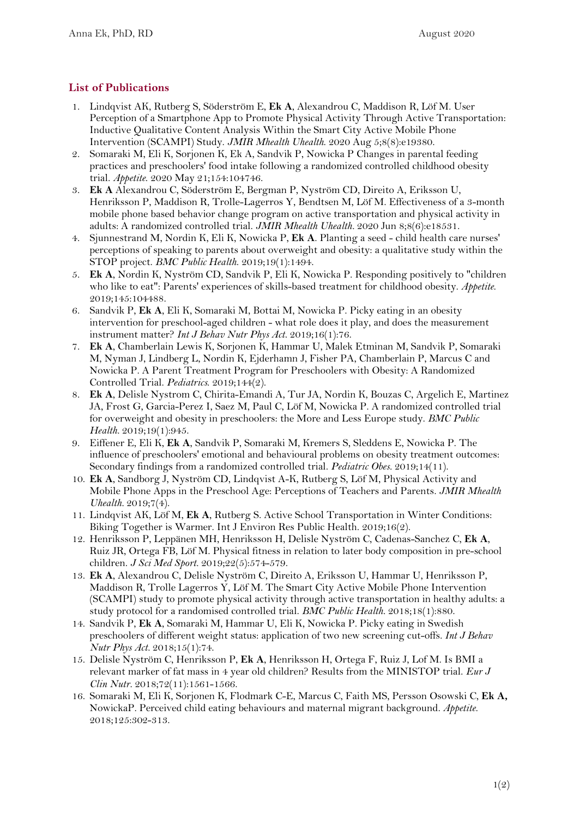## **List of Publications**

- 1. Lindqvist AK, Rutberg S, Söderström E, **Ek A**, Alexandrou C, Maddison R, Löf M. User Perception of a Smartphone App to Promote Physical Activity Through Active Transportation: Inductive Qualitative Content Analysis Within the Smart City Active Mobile Phone Intervention (SCAMPI) Study. *JMIR Mhealth Uhealth*. 2020 Aug 5;8(8):e19380.
- 2. Somaraki M, Eli K, Sorjonen K, Ek A, Sandvik P, Nowicka P Changes in parental feeding practices and preschoolers' food intake following a randomized controlled childhood obesity trial. *Appetite*. 2020 May 21;154:104746.
- 3. **Ek A** Alexandrou C, Söderström E, Bergman P, Nyström CD, Direito A, Eriksson U, Henriksson P, Maddison R, Trolle-Lagerros Y, Bendtsen M, Löf M. Effectiveness of a 3-month mobile phone based behavior change program on active transportation and physical activity in adults: A randomized controlled trial. *JMIR Mhealth Uhealth.* 2020 Jun 8;8(6):e18531.
- 4. Sjunnestrand M, Nordin K, Eli K, Nowicka P, **Ek A**. Planting a seed child health care nurses' perceptions of speaking to parents about overweight and obesity: a qualitative study within the STOP project. *BMC Public Health*. 2019;19(1):1494.
- 5. **Ek A**, Nordin K, Nyström CD, Sandvik P, Eli K, Nowicka P. Responding positively to "children who like to eat": Parents' experiences of skills-based treatment for childhood obesity. *Appetite*. 2019;145:104488.
- 6. Sandvik P, **Ek A**, Eli K, Somaraki M, Bottai M, Nowicka P. Picky eating in an obesity intervention for preschool-aged children - what role does it play, and does the measurement instrument matter? *Int J Behav Nutr Phys Act*. 2019;16(1):76.
- 7. **Ek A**, Chamberlain Lewis K, Sorjonen K, Hammar U, Malek Etminan M, Sandvik P, Somaraki M, Nyman J, Lindberg L, Nordin K, Ejderhamn J, Fisher PA, Chamberlain P, Marcus C and Nowicka P. A Parent Treatment Program for Preschoolers with Obesity: A Randomized Controlled Trial. *Pediatrics*. 2019;144(2).
- 8. **Ek A**, Delisle Nystrom C, Chirita-Emandi A, Tur JA, Nordin K, Bouzas C, Argelich E, Martinez JA, Frost G, Garcia-Perez I, Saez M, Paul C, Löf M, Nowicka P. A randomized controlled trial for overweight and obesity in preschoolers: the More and Less Europe study. *BMC Public Health.* 2019;19(1):945.
- 9. Eiffener E, Eli K, **Ek A**, Sandvik P, Somaraki M, Kremers S, Sleddens E, Nowicka P. The influence of preschoolers' emotional and behavioural problems on obesity treatment outcomes: Secondary findings from a randomized controlled trial. *Pediatric Obes.* 2019;14(11).
- 10. **Ek A**, Sandborg J, Nyström CD, Lindqvist A-K, Rutberg S, Löf M, Physical Activity and Mobile Phone Apps in the Preschool Age: Perceptions of Teachers and Parents. *JMIR Mhealth Uhealth.* 2019;7(4).
- 11. Lindqvist AK, Löf M, **Ek A**, Rutberg S. Active School Transportation in Winter Conditions: Biking Together is Warmer. Int J Environ Res Public Health. 2019;16(2).
- 12. Henriksson P, Leppänen MH, Henriksson H, Delisle Nyström C, Cadenas-Sanchez C, **Ek A**, Ruiz JR, Ortega FB, Löf M. Physical fitness in relation to later body composition in pre-school children. *J Sci Med Sport.* 2019;22(5):574-579.
- 13. **Ek A**, Alexandrou C, Delisle Nyström C, Direito A, Eriksson U, Hammar U, Henriksson P, Maddison R, Trolle Lagerros Y, Löf M. The Smart City Active Mobile Phone Intervention (SCAMPI) study to promote physical activity through active transportation in healthy adults: a study protocol for a randomised controlled trial. *BMC Public Health.* 2018;18(1):880.
- 14. Sandvik P, **Ek A**, Somaraki M, Hammar U, Eli K, Nowicka P. Picky eating in Swedish preschoolers of different weight status: application of two new screening cut-offs. *Int J Behav Nutr Phys Act.* 2018;15(1):74.
- 15. Delisle Nyström C, Henriksson P, **Ek A**, Henriksson H, Ortega F, Ruiz J, Lof M. Is BMI a relevant marker of fat mass in 4 year old children? Results from the MINISTOP trial. *Eur J Clin Nutr.* 2018;72(11):1561-1566.
- 16. Somaraki M, Eli K, Sorjonen K, Flodmark C-E, Marcus C, Faith MS, Persson Osowski C, **Ek A,**  NowickaP. Perceived child eating behaviours and maternal migrant background. *Appetite*. 2018;125:302-313.